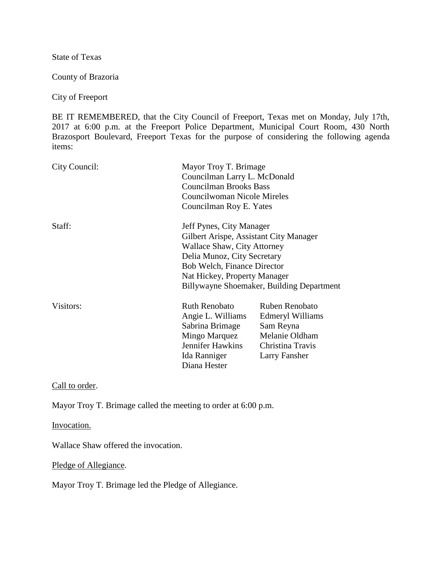State of Texas

County of Brazoria

City of Freeport

BE IT REMEMBERED, that the City Council of Freeport, Texas met on Monday, July 17th, 2017 at 6:00 p.m. at the Freeport Police Department, Municipal Court Room, 430 North Brazosport Boulevard, Freeport Texas for the purpose of considering the following agenda items:

| City Council: | Mayor Troy T. Brimage<br>Councilman Larry L. McDonald<br><b>Councilman Brooks Bass</b><br>Councilwoman Nicole Mireles<br>Councilman Roy E. Yates                                                                                             |                                                                                                        |
|---------------|----------------------------------------------------------------------------------------------------------------------------------------------------------------------------------------------------------------------------------------------|--------------------------------------------------------------------------------------------------------|
| Staff:        | Jeff Pynes, City Manager<br>Gilbert Arispe, Assistant City Manager<br>Wallace Shaw, City Attorney<br>Delia Munoz, City Secretary<br>Bob Welch, Finance Director<br>Nat Hickey, Property Manager<br>Billywayne Shoemaker, Building Department |                                                                                                        |
| Visitors:     | <b>Ruth Renobato</b><br>Angie L. Williams<br>Sabrina Brimage<br>Mingo Marquez<br>Jennifer Hawkins<br>Ida Ranniger<br>Diana Hester                                                                                                            | Ruben Renobato<br>Edmeryl Williams<br>Sam Reyna<br>Melanie Oldham<br>Christina Travis<br>Larry Fansher |

Call to order.

Mayor Troy T. Brimage called the meeting to order at 6:00 p.m.

Invocation.

Wallace Shaw offered the invocation.

Pledge of Allegiance.

Mayor Troy T. Brimage led the Pledge of Allegiance.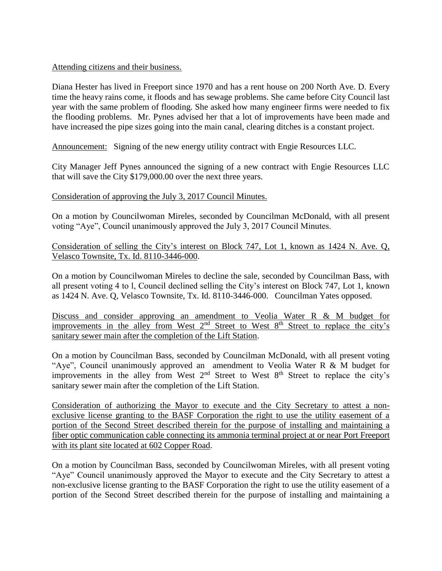# Attending citizens and their business.

Diana Hester has lived in Freeport since 1970 and has a rent house on 200 North Ave. D. Every time the heavy rains come, it floods and has sewage problems. She came before City Council last year with the same problem of flooding. She asked how many engineer firms were needed to fix the flooding problems. Mr. Pynes advised her that a lot of improvements have been made and have increased the pipe sizes going into the main canal, clearing ditches is a constant project.

Announcement: Signing of the new energy utility contract with Engie Resources LLC.

City Manager Jeff Pynes announced the signing of a new contract with Engie Resources LLC that will save the City \$179,000.00 over the next three years.

# Consideration of approving the July 3, 2017 Council Minutes.

On a motion by Councilwoman Mireles, seconded by Councilman McDonald, with all present voting "Aye", Council unanimously approved the July 3, 2017 Council Minutes.

Consideration of selling the City's interest on Block 747, Lot 1, known as 1424 N. Ave. Q, Velasco Townsite, Tx. Id. 8110-3446-000.

On a motion by Councilwoman Mireles to decline the sale, seconded by Councilman Bass, with all present voting 4 to l, Council declined selling the City's interest on Block 747, Lot 1, known as 1424 N. Ave. Q, Velasco Townsite, Tx. Id. 8110-3446-000. Councilman Yates opposed.

Discuss and consider approving an amendment to Veolia Water R & M budget for improvements in the alley from West  $2<sup>nd</sup>$  Street to West  $8<sup>th</sup>$  Street to replace the city's sanitary sewer main after the completion of the Lift Station.

On a motion by Councilman Bass, seconded by Councilman McDonald, with all present voting "Aye", Council unanimously approved an amendment to Veolia Water R  $\&$  M budget for improvements in the alley from West  $2<sup>nd</sup>$  Street to West  $8<sup>th</sup>$  Street to replace the city's sanitary sewer main after the completion of the Lift Station.

Consideration of authorizing the Mayor to execute and the City Secretary to attest a nonexclusive license granting to the BASF Corporation the right to use the utility easement of a portion of the Second Street described therein for the purpose of installing and maintaining a fiber optic communication cable connecting its ammonia terminal project at or near Port Freeport with its plant site located at 602 Copper Road.

On a motion by Councilman Bass, seconded by Councilwoman Mireles, with all present voting "Aye" Council unanimously approved the Mayor to execute and the City Secretary to attest a non-exclusive license granting to the BASF Corporation the right to use the utility easement of a portion of the Second Street described therein for the purpose of installing and maintaining a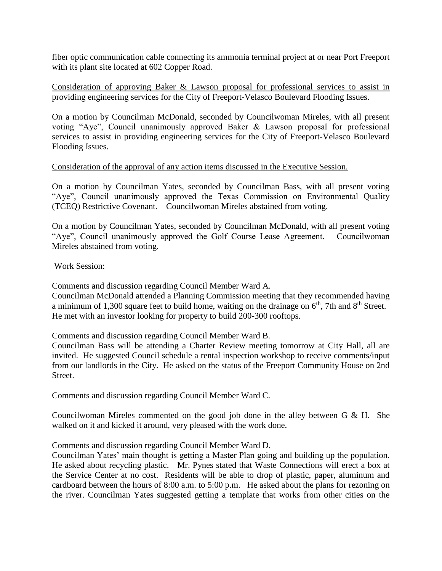fiber optic communication cable connecting its ammonia terminal project at or near Port Freeport with its plant site located at 602 Copper Road.

Consideration of approving Baker & Lawson proposal for professional services to assist in providing engineering services for the City of Freeport-Velasco Boulevard Flooding Issues.

On a motion by Councilman McDonald, seconded by Councilwoman Mireles, with all present voting "Aye", Council unanimously approved Baker & Lawson proposal for professional services to assist in providing engineering services for the City of Freeport-Velasco Boulevard Flooding Issues.

#### Consideration of the approval of any action items discussed in the Executive Session.

On a motion by Councilman Yates, seconded by Councilman Bass, with all present voting "Aye", Council unanimously approved the Texas Commission on Environmental Quality (TCEQ) Restrictive Covenant. Councilwoman Mireles abstained from voting.

On a motion by Councilman Yates, seconded by Councilman McDonald, with all present voting "Aye", Council unanimously approved the Golf Course Lease Agreement. Councilwoman Mireles abstained from voting.

#### Work Session:

Comments and discussion regarding Council Member Ward A.

Councilman McDonald attended a Planning Commission meeting that they recommended having a minimum of 1,300 square feet to build home, waiting on the drainage on  $6<sup>th</sup>$ , 7th and  $8<sup>th</sup>$  Street. He met with an investor looking for property to build 200-300 rooftops.

Comments and discussion regarding Council Member Ward B.

Councilman Bass will be attending a Charter Review meeting tomorrow at City Hall, all are invited. He suggested Council schedule a rental inspection workshop to receive comments/input from our landlords in the City. He asked on the status of the Freeport Community House on 2nd Street.

Comments and discussion regarding Council Member Ward C.

Councilwoman Mireles commented on the good job done in the alley between G & H. She walked on it and kicked it around, very pleased with the work done.

Comments and discussion regarding Council Member Ward D.

Councilman Yates' main thought is getting a Master Plan going and building up the population. He asked about recycling plastic. Mr. Pynes stated that Waste Connections will erect a box at the Service Center at no cost. Residents will be able to drop of plastic, paper, aluminum and cardboard between the hours of 8:00 a.m. to 5:00 p.m. He asked about the plans for rezoning on the river. Councilman Yates suggested getting a template that works from other cities on the